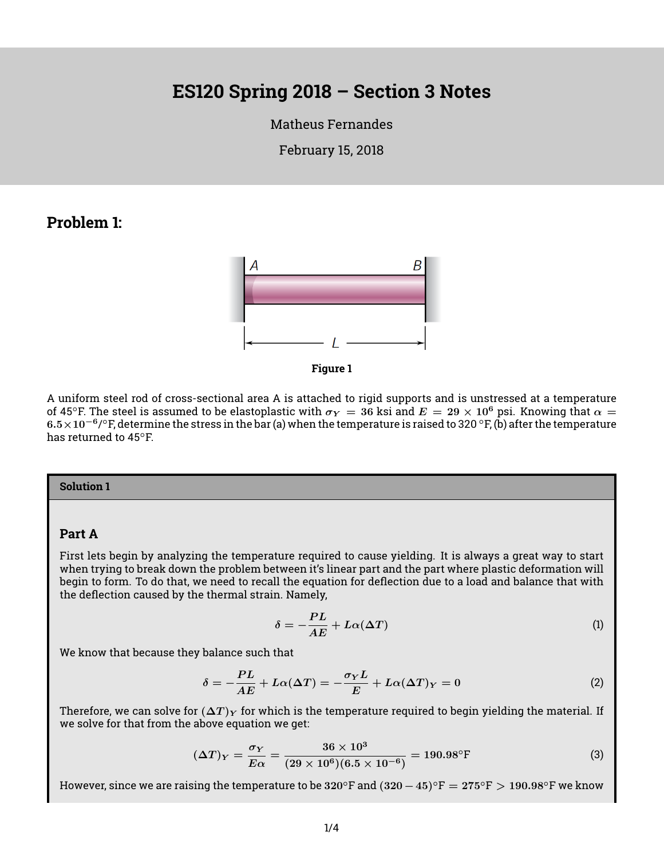# **ES120 Spring 2018 – Section 3 Notes**

[Matheus Fernandes](http://fer.me)

February 15, 2018

## **Problem 1:**





A uniform steel rod of cross-sectional area A is attached to rigid supports and is unstressed at a temperature of 45°F. The steel is assumed to be elastoplastic with  $\sigma_Y = 36$  ksi and  $E = 29 \times 10^6$  psi. Knowing that  $\alpha =$ 6.5  $\times$  10 $^{-6}$ /°F, determine the stress in the bar (a) when the temperature is raised to 320 °F, (b) after the temperature has returned to 45°F.

#### **Solution 1**

#### **Part A**

First lets begin by analyzing the temperature required to cause yielding. It is always a great way to start when trying to break down the problem between it's linear part and the part where plastic deformation will begin to form. To do that, we need to recall the equation for deflection due to a load and balance that with the deflection caused by the thermal strain. Namely,

$$
\delta = -\frac{PL}{AE} + L\alpha(\Delta T) \tag{1}
$$

We know that because they balance such that

$$
\delta = -\frac{PL}{AE} + L\alpha(\Delta T) = -\frac{\sigma_Y L}{E} + L\alpha(\Delta T)_Y = 0
$$
\n(2)

Therefore, we can solve for  $(\Delta T)_Y$  for which is the temperature required to begin yielding the material. If we solve for that from the above equation we get:

$$
(\Delta T)_Y = \frac{\sigma_Y}{E \alpha} = \frac{36 \times 10^3}{(29 \times 10^6)(6.5 \times 10^{-6})} = 190.98^\circ \tag{3}
$$

However, since we are raising the temperature to be 320°F and  $(320-45)$ °F  $= 275$ °F  $> 190.98$ °F we know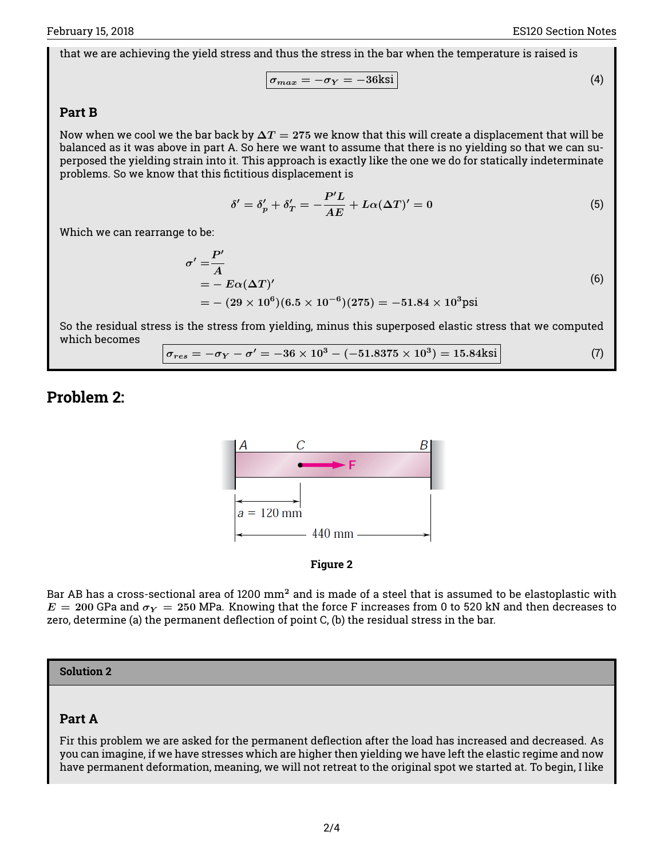that we are achieving the yield stress and thus the stress in the bar when the temperature is raised is

$$
\sigma_{max} = -\sigma_Y = -36\text{ksi}
$$
 (4)

## **Part B**

Now when we cool we the bar back by  $\Delta T = 275$  we know that this will create a displacement that will be balanced as it was above in part A. So here we want to assume that there is no yielding so that we can superposed the yielding strain into it. This approach is exactly like the one we do for statically indeterminate problems. So we know that this fictitious displacement is

$$
\delta' = \delta_p' + \delta_T' = -\frac{P'L}{AE} + L\alpha(\Delta T)' = 0
$$
\n(5)

Which we can rearrange to be:

$$
\sigma' = \frac{P'}{A}
$$
  
=  $- E\alpha(\Delta T)'$   
=  $-(29 \times 10^6)(6.5 \times 10^{-6})(275) = -51.84 \times 10^3 \text{psi}$  (6)

So the residual stress is the stress from yielding, minus this superposed elastic stress that we computed which becomes

 $\sigma_{res} = -\sigma_Y - \sigma' = -36 \times 10^3 - (-51.8375 \times 10^3) = 15.84 \text{ksi}$  (7)

# **Problem 2:**





Bar AB has a cross-sectional area of 1200 mm<sup>2</sup> and is made of a steel that is assumed to be elastoplastic with  $E = 200$  GPa and  $\sigma_Y = 250$  MPa. Knowing that the force F increases from 0 to 520 kN and then decreases to zero, determine (a) the permanent deflection of point C, (b) the residual stress in the bar.

#### **Solution 2**

## **Part A**

Fir this problem we are asked for the permanent deflection after the load has increased and decreased. As you can imagine, if we have stresses which are higher then yielding we have left the elastic regime and now have permanent deformation, meaning, we will not retreat to the original spot we started at. To begin, I like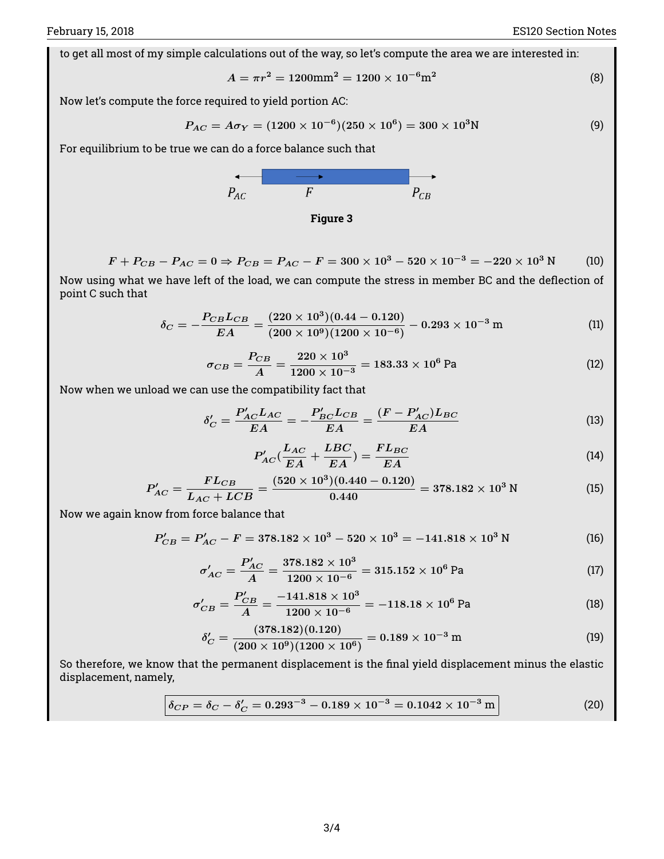to get all most of my simple calculations out of the way, so let's compute the area we are interested in:

$$
A = \pi r^2 = 1200 \text{mm}^2 = 1200 \times 10^{-6} \text{m}^2 \tag{8}
$$

Now let's compute the force required to yield portion AC:

$$
P_{AC} = A\sigma_Y = (1200 \times 10^{-6})(250 \times 10^6) = 300 \times 10^3 \text{N}
$$
 (9)

For equilibrium to be true we can do a force balance such that





$$
F + P_{CB} - P_{AC} = 0 \Rightarrow P_{CB} = P_{AC} - F = 300 \times 10^3 - 520 \times 10^{-3} = -220 \times 10^3 \text{ N} \tag{10}
$$

Now using what we have left of the load, we can compute the stress in member BC and the deflection of point C such that

$$
\delta_C = -\frac{P_{CB}L_{CB}}{EA} = \frac{(220 \times 10^3)(0.44 - 0.120)}{(200 \times 10^9)(1200 \times 10^{-6})} - 0.293 \times 10^{-3} \text{ m}
$$
 (11)

$$
\sigma_{CB} = \frac{P_{CB}}{A} = \frac{220 \times 10^3}{1200 \times 10^{-3}} = 183.33 \times 10^6 \,\text{Pa} \tag{12}
$$

Now when we unload we can use the compatibility fact that

$$
\delta'_{C} = \frac{P'_{AC}L_{AC}}{EA} = -\frac{P'_{BC}L_{CB}}{EA} = \frac{(F - P'_{AC})L_{BC}}{EA}
$$
(13)

$$
P'_{AC}(\frac{L_{AC}}{EA} + \frac{LBC}{EA}) = \frac{FL_{BC}}{EA}
$$
\n(14)

$$
P'_{AC} = \frac{FL_{CB}}{L_{AC} + LCB} = \frac{(520 \times 10^3)(0.440 - 0.120)}{0.440} = 378.182 \times 10^3 \text{ N}
$$
 (15)

Now we again know from force balance that

$$
P'_{CB} = P'_{AC} - F = 378.182 \times 10^3 - 520 \times 10^3 = -141.818 \times 10^3 \text{ N}
$$
 (16)

$$
\sigma'_{AC} = \frac{P'_{AC}}{A} = \frac{378.182 \times 10^3}{1200 \times 10^{-6}} = 315.152 \times 10^6 \text{ Pa}
$$
\n(17)

$$
\sigma'_{CB} = \frac{P'_{CB}}{A} = \frac{-141.818 \times 10^3}{1200 \times 10^{-6}} = -118.18 \times 10^6 \text{ Pa}
$$
\n(18)

$$
\delta_C' = \frac{(378.182)(0.120)}{(200 \times 10^9)(1200 \times 10^6)} = 0.189 \times 10^{-3} \,\mathrm{m} \tag{19}
$$

So therefore, we know that the permanent displacement is the final yield displacement minus the elastic displacement, namely,

$$
\delta_{CP} = \delta_C - \delta'_C = 0.293^{-3} - 0.189 \times 10^{-3} = 0.1042 \times 10^{-3} \,\mathrm{m} \tag{20}
$$